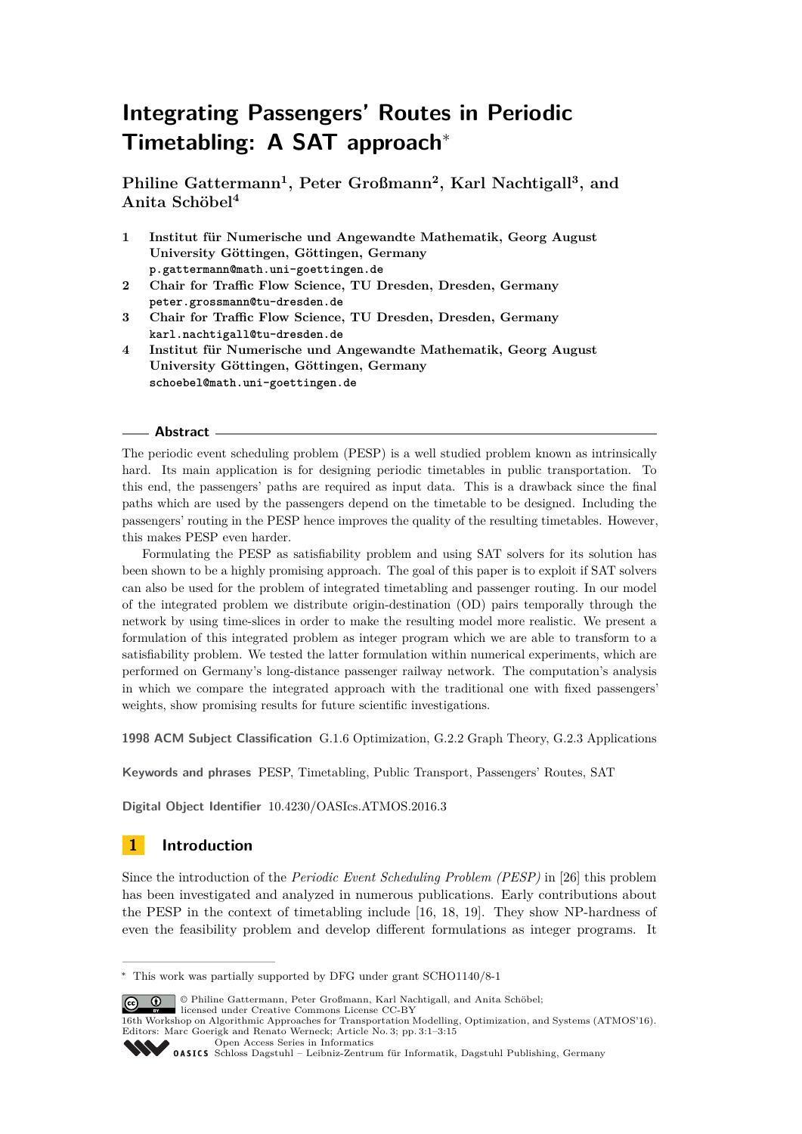# **Integrating Passengers' Routes in Periodic Timetabling: A SAT approach**<sup>∗</sup>

**Philine Gattermann<sup>1</sup> , Peter Großmann<sup>2</sup> , Karl Nachtigall<sup>3</sup> , and Anita Schöbel<sup>4</sup>**

- **1 Institut für Numerische und Angewandte Mathematik, Georg August University Göttingen, Göttingen, Germany p.gattermann@math.uni-goettingen.de**
- **2 Chair for Traffic Flow Science, TU Dresden, Dresden, Germany peter.grossmann@tu-dresden.de**
- **3 Chair for Traffic Flow Science, TU Dresden, Dresden, Germany karl.nachtigall@tu-dresden.de**
- **4 Institut für Numerische und Angewandte Mathematik, Georg August University Göttingen, Göttingen, Germany schoebel@math.uni-goettingen.de**

#### **Abstract**

The periodic event scheduling problem (PESP) is a well studied problem known as intrinsically hard. Its main application is for designing periodic timetables in public transportation. To this end, the passengers' paths are required as input data. This is a drawback since the final paths which are used by the passengers depend on the timetable to be designed. Including the passengers' routing in the PESP hence improves the quality of the resulting timetables. However, this makes PESP even harder.

Formulating the PESP as satisfiability problem and using SAT solvers for its solution has been shown to be a highly promising approach. The goal of this paper is to exploit if SAT solvers can also be used for the problem of integrated timetabling and passenger routing. In our model of the integrated problem we distribute origin-destination (OD) pairs temporally through the network by using time-slices in order to make the resulting model more realistic. We present a formulation of this integrated problem as integer program which we are able to transform to a satisfiability problem. We tested the latter formulation within numerical experiments, which are performed on Germany's long-distance passenger railway network. The computation's analysis in which we compare the integrated approach with the traditional one with fixed passengers' weights, show promising results for future scientific investigations.

**1998 ACM Subject Classification** G.1.6 Optimization, G.2.2 Graph Theory, G.2.3 Applications

**Keywords and phrases** PESP, Timetabling, Public Transport, Passengers' Routes, SAT

**Digital Object Identifier** [10.4230/OASIcs.ATMOS.2016.3](http://dx.doi.org/10.4230/OASIcs.ATMOS.2016.3)

# **1 Introduction**

Since the introduction of the *Periodic Event Scheduling Problem (PESP)* in [\[26\]](#page-12-0) this problem has been investigated and analyzed in numerous publications. Early contributions about the PESP in the context of timetabling include [\[16,](#page-11-0) [18,](#page-11-1) [19\]](#page-11-2). They show NP-hardness of even the feasibility problem and develop different formulations as integer programs. It

© Philine Gattermann, Peter Großmann, Karl Nachtigall, and Anita Schöbel; licensed under Creative Commons License CC-BY

<sup>∗</sup> This work was partially supported by DFG under grant SCHO1140/8-1

<sup>16</sup>th Workshop on Algorithmic Approaches for Transportation Modelling, Optimization, and Systems (ATMOS'16). Editors: Marc Goerigk and Renato Werneck; Article No. 3; pp. 3:1–3[:15](#page-14-0)

[Open Access Series in Informatics](http://www.dagstuhl.de/oasics/)

[Schloss Dagstuhl – Leibniz-Zentrum für Informatik, Dagstuhl Publishing, Germany](http://www.dagstuhl.de)<br>
1999 – Christian Bagstuhl – Leibniz-Zentrum für Informatik, Dagstuhl Publishing, Germany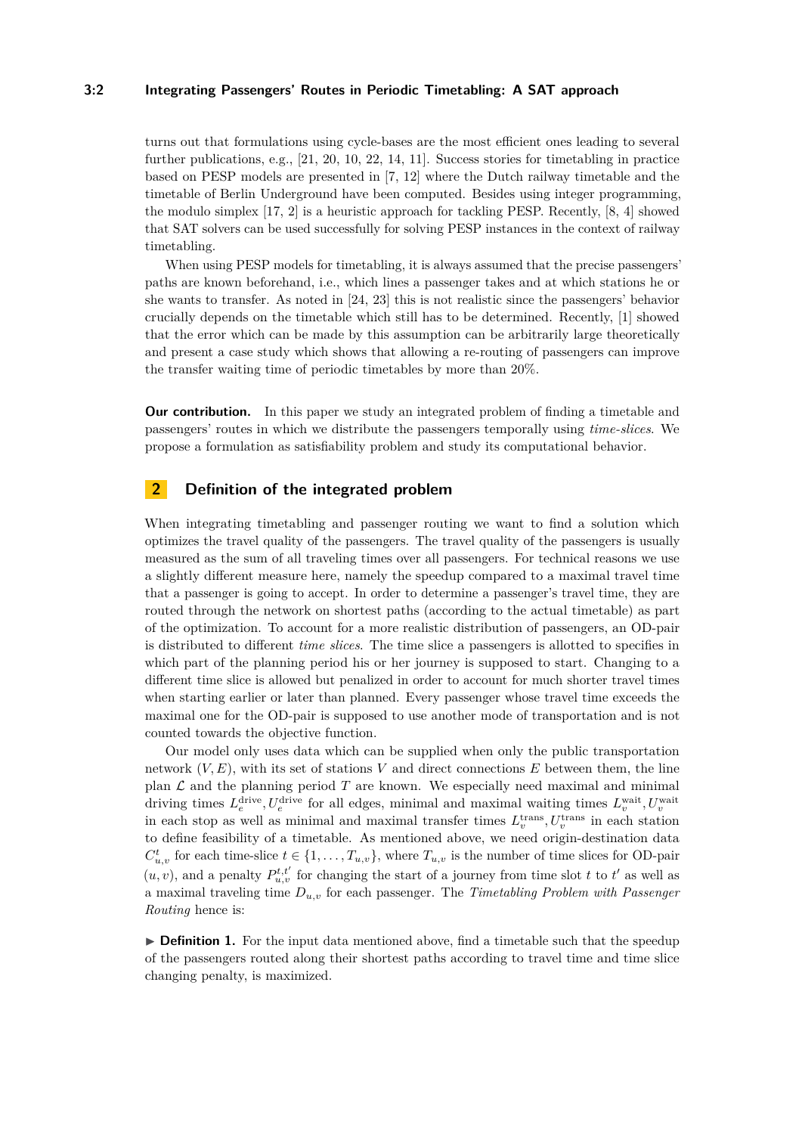### **3:2 Integrating Passengers' Routes in Periodic Timetabling: A SAT approach**

turns out that formulations using cycle-bases are the most efficient ones leading to several further publications, e.g., [\[21,](#page-12-1) [20,](#page-12-2) [10,](#page-11-3) [22,](#page-12-3) [14,](#page-11-4) [11\]](#page-11-5). Success stories for timetabling in practice based on PESP models are presented in [\[7,](#page-11-6) [12\]](#page-11-7) where the Dutch railway timetable and the timetable of Berlin Underground have been computed. Besides using integer programming, the modulo simplex  $[17, 2]$  $[17, 2]$  $[17, 2]$  is a heuristic approach for tackling PESP. Recently,  $[8, 4]$  $[8, 4]$  $[8, 4]$  showed that SAT solvers can be used successfully for solving PESP instances in the context of railway timetabling.

When using PESP models for timetabling, it is always assumed that the precise passengers' paths are known beforehand, i.e., which lines a passenger takes and at which stations he or she wants to transfer. As noted in [\[24,](#page-12-4) [23\]](#page-12-5) this is not realistic since the passengers' behavior crucially depends on the timetable which still has to be determined. Recently, [\[1\]](#page-11-12) showed that the error which can be made by this assumption can be arbitrarily large theoretically and present a case study which shows that allowing a re-routing of passengers can improve the transfer waiting time of periodic timetables by more than 20%.

**Our contribution.** In this paper we study an integrated problem of finding a timetable and passengers' routes in which we distribute the passengers temporally using *time-slices*. We propose a formulation as satisfiability problem and study its computational behavior.

# **2 Definition of the integrated problem**

When integrating timetabling and passenger routing we want to find a solution which optimizes the travel quality of the passengers. The travel quality of the passengers is usually measured as the sum of all traveling times over all passengers. For technical reasons we use a slightly different measure here, namely the speedup compared to a maximal travel time that a passenger is going to accept. In order to determine a passenger's travel time, they are routed through the network on shortest paths (according to the actual timetable) as part of the optimization. To account for a more realistic distribution of passengers, an OD-pair is distributed to different *time slices*. The time slice a passengers is allotted to specifies in which part of the planning period his or her journey is supposed to start. Changing to a different time slice is allowed but penalized in order to account for much shorter travel times when starting earlier or later than planned. Every passenger whose travel time exceeds the maximal one for the OD-pair is supposed to use another mode of transportation and is not counted towards the objective function.

Our model only uses data which can be supplied when only the public transportation network (*V, E*), with its set of stations *V* and direct connections *E* between them, the line plan  $\mathcal L$  and the planning period  $T$  are known. We especially need maximal and minimal driving times  $L_e^{\text{drive}}$ ,  $U_e^{\text{drive}}$  for all edges, minimal and maximal waiting times  $L_v^{\text{wait}}$ ,  $U_v^{\text{wait}}$ in each stop as well as minimal and maximal transfer times  $L_v^{\text{trans}}$ ,  $U_v^{\text{trans}}$  in each station to define feasibility of a timetable. As mentioned above, we need origin-destination data  $C_{u,v}^t$  for each time-slice  $t \in \{1, \ldots, T_{u,v}\}$ , where  $T_{u,v}$  is the number of time slices for OD-pair  $(u, v)$ , and a penalty  $P_{u,v}^{t,t'}$  for changing the start of a journey from time slot *t* to *t'* as well as a maximal traveling time *Du,v* for each passenger. The *Timetabling Problem with Passenger Routing* hence is:

► **Definition 1.** For the input data mentioned above, find a timetable such that the speedup of the passengers routed along their shortest paths according to travel time and time slice changing penalty, is maximized.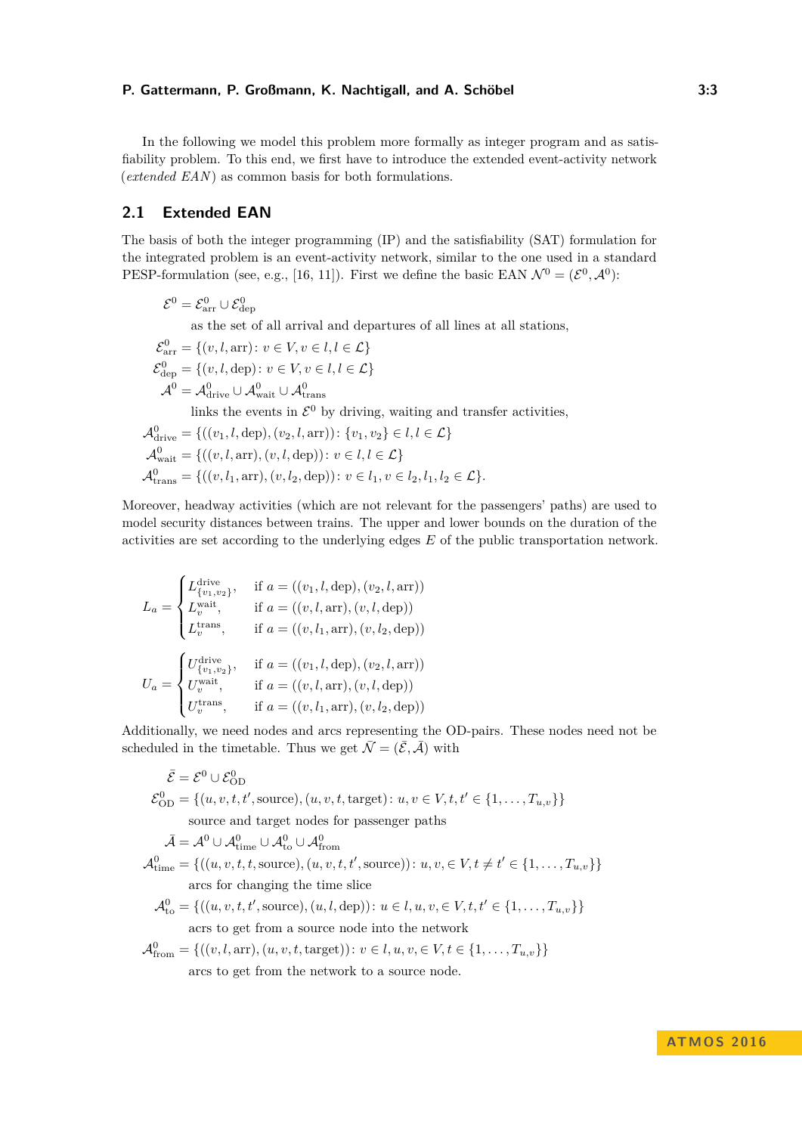In the following we model this problem more formally as integer program and as satisfiability problem. To this end, we first have to introduce the extended event-activity network (*extended EAN*) as common basis for both formulations.

# **2.1 Extended EAN**

The basis of both the integer programming (IP) and the satisfiability (SAT) formulation for the integrated problem is an event-activity network, similar to the one used in a standard PESP-formulation (see, e.g., [\[16,](#page-11-0) [11\]](#page-11-5)). First we define the basic EAN  $\mathcal{N}^0 = (\mathcal{E}^0, \mathcal{A}^0)$ :

$$
\mathcal{E}^0 = \mathcal{E}_{\text{arr}}^0 \cup \mathcal{E}_{\text{dep}}^0
$$
  
as the set of all arrival and departures of all lines at all stations,  

$$
\mathcal{E}_{\text{arr}}^0 = \{(v, l, \text{arr}) : v \in V, v \in l, l \in \mathcal{L}\}
$$

$$
\mathcal{E}_{\text{dep}}^0 = \{(v, l, \text{dep}) : v \in V, v \in l, l \in \mathcal{L}\}
$$

$$
\mathcal{A}^0 = \mathcal{A}_{\text{drive}}^0 \cup \mathcal{A}_{\text{wait}}^0 \cup \mathcal{A}_{\text{trans}}^0
$$
  
links the events in  $\mathcal{E}^0$  by driving, waiting and transfer activities,  

$$
\mathcal{A}_{\text{drive}}^0 = \{((v_1, l, \text{dep}), (v_2, l, \text{arr})) : \{v_1, v_2\} \in l, l \in \mathcal{L}\}
$$

$$
\mathcal{A}_{\text{wait}}^0 = \{((v, l, \text{arr}), (v, l, \text{dep})) : v \in l, l \in \mathcal{L}\}
$$

$$
\mathcal{A}_{\text{trans}}^0 = \{((v, l_1, \text{arr}), (v, l_2, \text{dep})) : v \in l_1, v \in l_2, l_1, l_2 \in \mathcal{L}\}.
$$

Moreover, headway activities (which are not relevant for the passengers' paths) are used to model security distances between trains. The upper and lower bounds on the duration of the activities are set according to the underlying edges *E* of the public transportation network.

$$
L_a = \begin{cases} L^{\text{drive}}_{\{v_1, v_2\}}, & \text{if } a = ((v_1, l, \text{dep}), (v_2, l, \text{arr})) \\ L^{\text{wait}}_{v}, & \text{if } a = ((v, l, \text{arr}), (v, l, \text{dep})) \\ L^{\text{trans}}_{v}, & \text{if } a = ((v, l_1, \text{arr}), (v, l_2, \text{dep})) \end{cases}
$$

$$
U_a = \begin{cases} U^{\text{drive}}_{\{v_1, v_2\}}, & \text{if } a = ((v_1, l, \text{dep}), (v_2, l, \text{arr})) \\ U^{\text{wait}}_{v}, & \text{if } a = ((v, l, \text{arr}), (v, l, \text{dep})) \\ U^{\text{trans}}_{v}, & \text{if } a = ((v, l_1, \text{arr}), (v, l_2, \text{dep})) \end{cases}
$$

Additionally, we need nodes and arcs representing the OD-pairs. These nodes need not be scheduled in the timetable. Thus we get  $\overline{\mathcal{N}} = (\overline{\mathcal{E}}, \overline{\mathcal{A}})$  with

$$
\bar{\mathcal{E}} = \mathcal{E}^0 \cup \mathcal{E}_{OD}^0
$$
  
\n
$$
\mathcal{E}_{OD}^0 = \{(u, v, t, t', \text{source}), (u, v, t, \text{target}) : u, v \in V, t, t' \in \{1, ..., T_{u,v}\}\}
$$
  
\nsource and target nodes for passenger paths  
\n
$$
\bar{\mathcal{A}} = \mathcal{A}^0 \cup \mathcal{A}_{\text{time}}^0 \cup \mathcal{A}_{\text{to}}^0
$$
  
\n
$$
\mathcal{A}_{\text{time}}^0 = \{((u, v, t, t, \text{source}), (u, v, t, t', \text{source})) : u, v, \in V, t \neq t' \in \{1, ..., T_{u,v}\}\}
$$
  
\narcs for changing the time slice  
\n
$$
\mathcal{A}_{\text{to}}^0 = \{((u, v, t, t', \text{source}), (u, l, \text{dep})) : u \in l, u, v, \in V, t, t' \in \{1, ..., T_{u,v}\}\}
$$
  
\nacrs to get from a source node into the network  
\n
$$
\mathcal{A}_{\text{from}}^0 = \{((v, l, \text{arr}), (u, v, t, \text{target})) : v \in l, u, v, \in V, t \in \{1, ..., T_{u,v}\}\}
$$
  
\narcs to get from the network to a source node.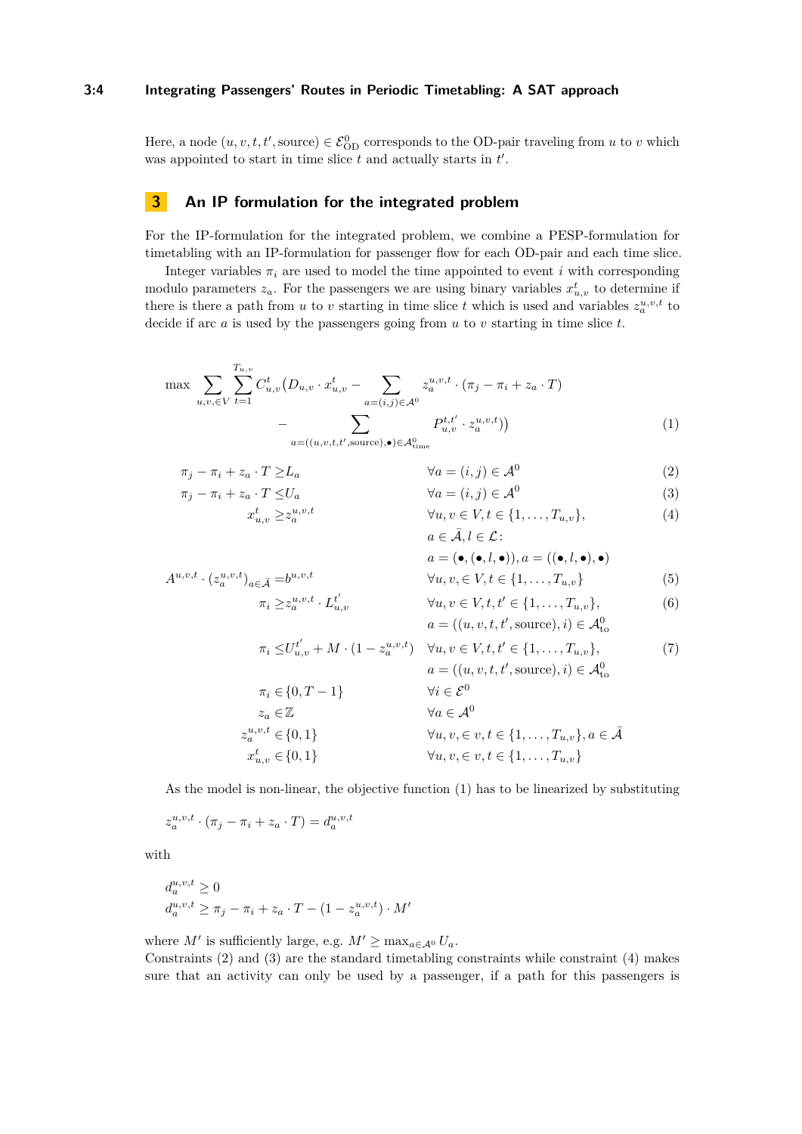### **3:4 Integrating Passengers' Routes in Periodic Timetabling: A SAT approach**

Here, a node  $(u, v, t, t', \text{source}) \in \mathcal{E}_{OD}^0$  corresponds to the OD-pair traveling from *u* to *v* which was appointed to start in time slice  $t$  and actually starts in  $t'$ .

# **3 An IP formulation for the integrated problem**

For the IP-formulation for the integrated problem, we combine a PESP-formulation for timetabling with an IP-formulation for passenger flow for each OD-pair and each time slice.

Integer variables  $\pi_i$  are used to model the time appointed to event *i* with corresponding modulo parameters  $z_a$ . For the passengers we are using binary variables  $x_{u,v}^t$  to determine if there is there a path from *u* to *v* starting in time slice *t* which is used and variables  $z_a^{u,v,t}$  to decide if arc *a* is used by the passengers going from *u* to *v* starting in time slice *t*.

$$
\max \sum_{u,v,\in V} \sum_{t=1}^{T_{u,v}} C_{u,v}^t (D_{u,v} \cdot x_{u,v}^t - \sum_{a=(i,j)\in \mathcal{A}^0} z_a^{u,v,t} \cdot (\pi_j - \pi_i + z_a \cdot T) - \sum_{a=((u,v,t,t',\text{source}),\bullet) \in \mathcal{A}_{\text{time}}^0} P_{u,v}^{t,t'} \cdot z_a^{u,v,t})
$$
\n(1)

$$
\pi_j - \pi_i + z_a \cdot T \ge L_a \qquad \forall a = (i, j) \in \mathcal{A}^0
$$
  
\n
$$
\pi_j - \pi_i + z_a \cdot T \le U_a \qquad \forall a = (i, j) \in \mathcal{A}^0
$$
  
\n(2)

<span id="page-3-0"></span>
$$
x_{u,v}^t \ge z_a^{u,v,t} \qquad \qquad \forall u, v \in V, t \in \{1, \dots, T_{u,v}\},
$$
  
\n
$$
a \in \bar{\mathcal{A}}, l \in \mathcal{L}:
$$
\n
$$
(4)
$$

$$
A^{u,v,t} \cdot (z_a^{u,v,t})_{a \in \bar{\mathcal{A}}} = b^{u,v,t} \qquad \qquad \forall u, v \in V, t \in \{1, \dots, T_{u,v}\}\n\qquad (5)
$$
\n
$$
\pi_i \ge z_a^{u,v,t} \cdot L_{u,v}^{t'} \qquad \qquad \forall u, v \in V, t, t' \in \{1, \dots, T_{u,v}\},\n\qquad (6)
$$

<span id="page-3-6"></span><span id="page-3-5"></span><span id="page-3-4"></span><span id="page-3-3"></span><span id="page-3-2"></span><span id="page-3-1"></span>
$$
\geq z_a^{u,v,t} \cdot L_{u,v}^{t'} \qquad \forall u, v \in V, t, t' \in \{1, ..., T_{u,v}\},
$$
  
\n
$$
a = ((u, v, t, t', \text{source}), i) \in \mathcal{A}_{to}^0
$$
 (6)

$$
\pi_i \le U_{u,v}^{t'} + M \cdot (1 - z_a^{u,v,t}) \quad \forall u, v \in V, t, t' \in \{1, ..., T_{u,v}\},
$$
\n
$$
a = ((u, v, t, t', \text{source}), i) \in \mathcal{A}_{\text{to}}^0
$$
\n
$$
\pi_i \in \{0, T - 1\} \quad \forall i \in \mathcal{E}^0
$$
\n
$$
z_a \in \mathbb{Z} \quad \forall a \in \mathcal{A}^0
$$
\n
$$
z_{u,v}^{u,v,t} \in \{0, 1\} \quad \forall u, v, \in v, t \in \{1, ..., T_{u,v}\}, a \in \bar{\mathcal{A}}
$$
\n
$$
x_{u,v}^t \in \{0, 1\} \quad \forall u, v, \in v, t \in \{1, ..., T_{u,v}\}
$$
\n
$$
(7)
$$

As the model is non-linear, the objective function [\(1\)](#page-3-0) has to be linearized by substituting

$$
z_a^{u,v,t} \cdot (\pi_j - \pi_i + z_a \cdot T) = d_a^{u,v,t}
$$

with

$$
d_a^{u,v,t} \ge 0
$$
  
\n
$$
d_a^{u,v,t} \ge \pi_j - \pi_i + z_a \cdot T - (1 - z_a^{u,v,t}) \cdot M'
$$

where *M'* is sufficiently large, e.g.  $M' \ge \max_{a \in \mathcal{A}^0} U_a$ .

Constraints [\(2\)](#page-3-1) and [\(3\)](#page-3-2) are the standard timetabling constraints while constraint [\(4\)](#page-3-3) makes sure that an activity can only be used by a passenger, if a path for this passengers is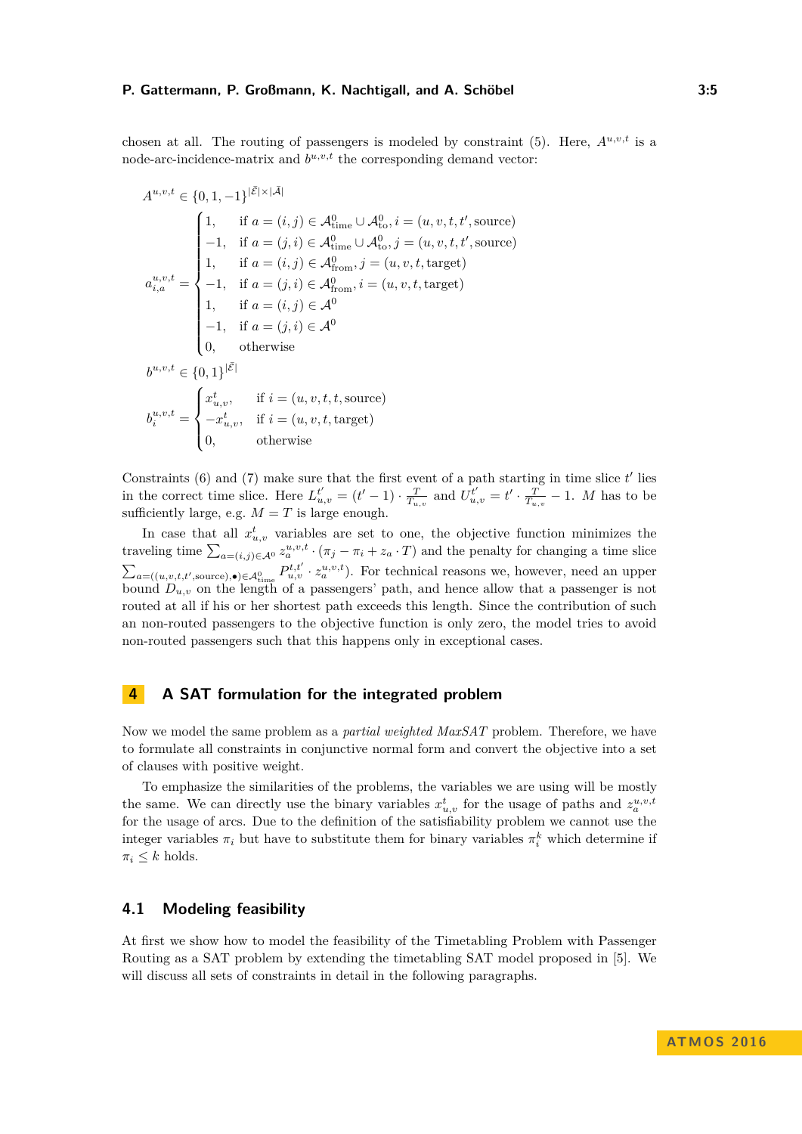chosen at all. The routing of passengers is modeled by constraint  $(5)$ . Here,  $A^{u,v,t}$  is a node-arc-incidence-matrix and  $b^{u,v,t}$  the corresponding demand vector:

$$
A^{u,v,t} \in \{0, 1, -1\}^{|\bar{\mathcal{E}}| \times |\bar{\mathcal{A}}|}
$$
  
\n
$$
\begin{cases}\n1, & \text{if } a = (i, j) \in \mathcal{A}_{\text{time}}^{0} \cup \mathcal{A}_{\text{to}}^{0}, i = (u, v, t, t', \text{source}) \\
-1, & \text{if } a = (j, i) \in \mathcal{A}_{\text{time}}^{0} \cup \mathcal{A}_{\text{to}}^{0}, j = (u, v, t, t', \text{source}) \\
1, & \text{if } a = (i, j) \in \mathcal{A}_{\text{from}}^{0}, j = (u, v, t, \text{target}) \\
-1, & \text{if } a = (j, i) \in \mathcal{A}_{\text{from}}^{0}, i = (u, v, t, \text{target}) \\
1, & \text{if } a = (i, j) \in \mathcal{A}^{0} \\
-1, & \text{if } a = (j, i) \in \mathcal{A}^{0} \\
0, & \text{otherwise}\n\end{cases}
$$
  
\n
$$
b^{u,v,t} \in \{0, 1\}^{|\bar{\mathcal{E}}|}
$$
  
\n
$$
b^{u,v,t} = \begin{cases}\nx_{u,v}^t, & \text{if } i = (u, v, t, t, \text{source}) \\
-x_{u,v}^t, & \text{if } i = (u, v, t, \text{target}) \\
0, & \text{otherwise}\n\end{cases}
$$

Constraints  $(6)$  and  $(7)$  make sure that the first event of a path starting in time slice  $t'$  lies in the correct time slice. Here  $L_{u,v}^{t'} = (t'-1) \cdot \frac{T}{T_{u,v}}$  and  $U_{u,v}^{t'} = t' \cdot \frac{T}{T_{u,v}} - 1$ . M has to be sufficiently large, e.g.  $M = T$  is large enough.

In case that all  $x_{u,v}^t$  variables are set to one, the objective function minimizes the traveling time  $\sum_{a=(i,j)\in\mathcal{A}^0} z_a^{u,v,t} \cdot (\pi_j - \pi_i + z_a \cdot T)$  and the penalty for changing a time slice  $\sum_{a=(u,v,t,t',\text{source}),\bullet)\in\mathcal{A}_{\text{time}}^0} P_{u,v}^{t,t'}\cdot z_a^{u,v,t}$ . For technical reasons we, however, need an upper bound  $D_{u,v}$  on the length of a passengers' path, and hence allow that a passenger is not routed at all if his or her shortest path exceeds this length. Since the contribution of such an non-routed passengers to the objective function is only zero, the model tries to avoid non-routed passengers such that this happens only in exceptional cases.

# <span id="page-4-0"></span>**4 A SAT formulation for the integrated problem**

Now we model the same problem as a *partial weighted MaxSAT* problem. Therefore, we have to formulate all constraints in conjunctive normal form and convert the objective into a set of clauses with positive weight.

To emphasize the similarities of the problems, the variables we are using will be mostly the same. We can directly use the binary variables  $x_{u,v}^t$  for the usage of paths and  $z_a^{u,v,t}$ for the usage of arcs. Due to the definition of the satisfiability problem we cannot use the integer variables  $\pi_i$  but have to substitute them for binary variables  $\pi_i^k$  which determine if  $\pi_i \leq k$  holds.

# **4.1 Modeling feasibility**

At first we show how to model the feasibility of the Timetabling Problem with Passenger Routing as a SAT problem by extending the timetabling SAT model proposed in [\[5\]](#page-11-13). We will discuss all sets of constraints in detail in the following paragraphs.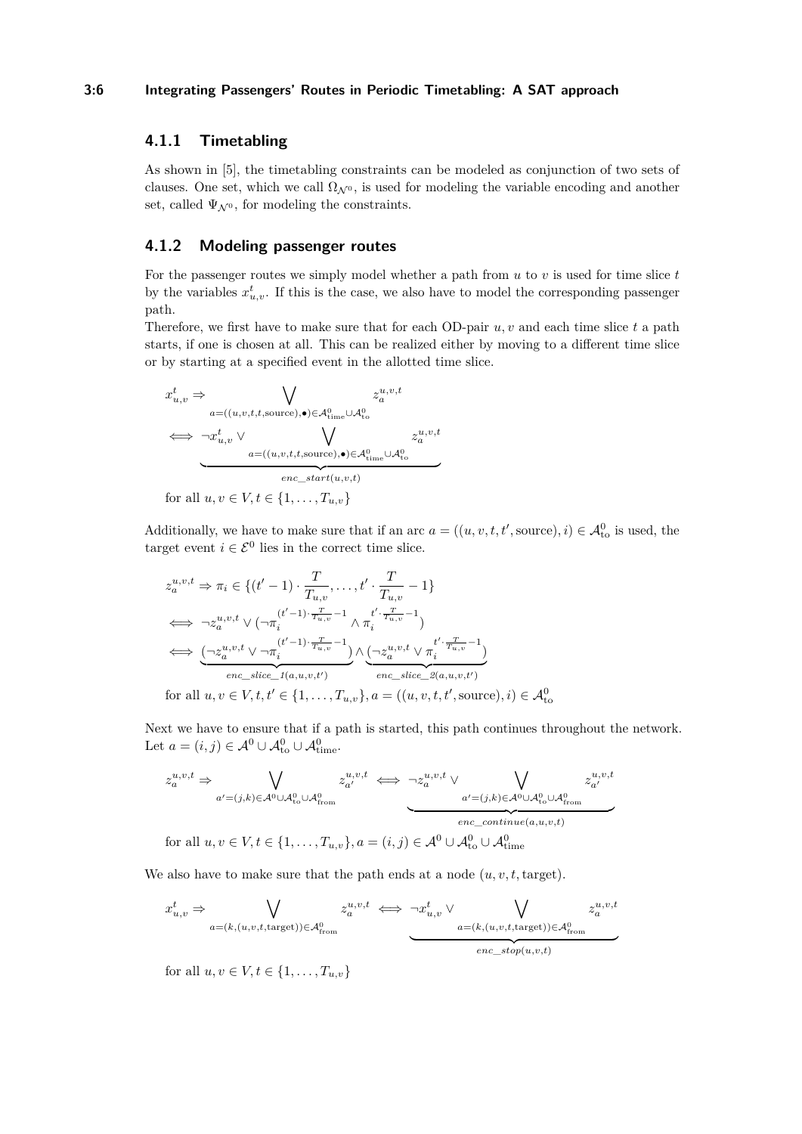### **3:6 Integrating Passengers' Routes in Periodic Timetabling: A SAT approach**

# **4.1.1 Timetabling**

As shown in [\[5\]](#page-11-13), the timetabling constraints can be modeled as conjunction of two sets of clauses. One set, which we call  $\Omega_{\mathcal{N}^0}$ , is used for modeling the variable encoding and another set, called  $\Psi_{\mathcal{N}^0}$ , for modeling the constraints.

# **4.1.2 Modeling passenger routes**

For the passenger routes we simply model whether a path from *u* to *v* is used for time slice *t* by the variables  $x_{u,v}^t$ . If this is the case, we also have to model the corresponding passenger path.

Therefore, we first have to make sure that for each OD-pair *u, v* and each time slice *t* a path starts, if one is chosen at all. This can be realized either by moving to a different time slice or by starting at a specified event in the allotted time slice.

$$
\begin{aligned}\nx_{u,v}^t &\Rightarrow \bigvee_{a = ((u,v,t,t,\text{source}),\bullet) \in \mathcal{A}_{\text{time}}^0 \cup \mathcal{A}_{\text{to}}^0} z_a^{u,v,t} \\
&\iff \neg x_{u,v}^t \lor \bigvee_{a = ((u,v,t,t,\text{source}),\bullet) \in \mathcal{A}_{\text{time}}^0 \cup \mathcal{A}_{\text{to}}^0} z_a^{u,v,t} \\
&\xrightarrow{enc\_start(u,v,t)} \\
\text{for all } u,v \in V, t \in \{1, \ldots, T_{u,v}\}\n\end{aligned}
$$

Additionally, we have to make sure that if an arc  $a = ((u, v, t, t', \text{source}), i) \in \mathcal{A}_{to}^0$  is used, the target event  $i \in \mathcal{E}^0$  lies in the correct time slice.

$$
z_a^{u,v,t} \Rightarrow \pi_i \in \{(t'-1) \cdot \frac{T}{T_{u,v}}, \dots, t' \cdot \frac{T}{T_{u,v}} - 1\}
$$
  
\n
$$
\iff \neg z_a^{u,v,t} \lor (\neg \pi_i^{(t'-1)} \cdot \frac{T}{T_{u,v}} - 1 \land \pi_i^{t' \cdot \frac{T}{T_{u,v}} - 1})
$$
  
\n
$$
\iff \underbrace{(\neg z_a^{u,v,t} \lor \neg \pi_i^{(t'-1)} \cdot \frac{T}{T_{u,v}} - 1)}_{enc\_slice\_I(a,u,v,t')} \land \underbrace{(\neg z_a^{u,v,t} \lor \pi_i^{t' \cdot \frac{T}{T_{u,v}} - 1})}_{enc\_slice\_2(a,u,v,t')}
$$

for all  $u, v \in V, t, t' \in \{1, ..., T_{u,v}\}, a = ((u, v, t, t', \text{source}), i) \in \mathcal{A}_{\text{to}}^{0}$ 

Next we have to ensure that if a path is started, this path continues throughout the network. Let  $a = (i, j) \in \mathcal{A}^0 \cup \mathcal{A}^0_{\text{to}} \cup \mathcal{A}^0_{\text{time}}.$ 

$$
z_a^{u,v,t} \Rightarrow \bigvee_{a'=(j,k)\in\mathcal{A}^0\cup\mathcal{A}_{\text{to}}^0\cup\mathcal{A}_{\text{from}}^0} z_{a'}^{u,v,t} \iff \neg z_a^{u,v,t} \vee \bigvee_{a'=(j,k)\in\mathcal{A}^0\cup\mathcal{A}_{\text{to}}^0\cup\mathcal{A}_{\text{from}}^0} z_{a'}^{u,v,t}
$$
  
for all  $u, v \in V, t \in \{1, ..., T_{u,v}\}, a = (i,j) \in \mathcal{A}^0 \cup \mathcal{A}_{\text{to}}^0 \cup \mathcal{A}_{\text{time}}^0$ 

We also have to make sure that the path ends at a node  $(u, v, t, \text{target})$ .

$$
x_{u,v}^t \Rightarrow \bigvee_{a=(k,(u,v,t,\text{target}))\in\mathcal{A}_{\text{from}}^0} z_a^{u,v,t} \iff \neg x_{u,v}^t \lor \bigvee_{a=(k,(u,v,t,\text{target}))\in\mathcal{A}_{\text{from}}^0} z_a^{u,v,t}
$$

for all  $u, v \in V, t \in \{1, \ldots, T_{u,v}\}\$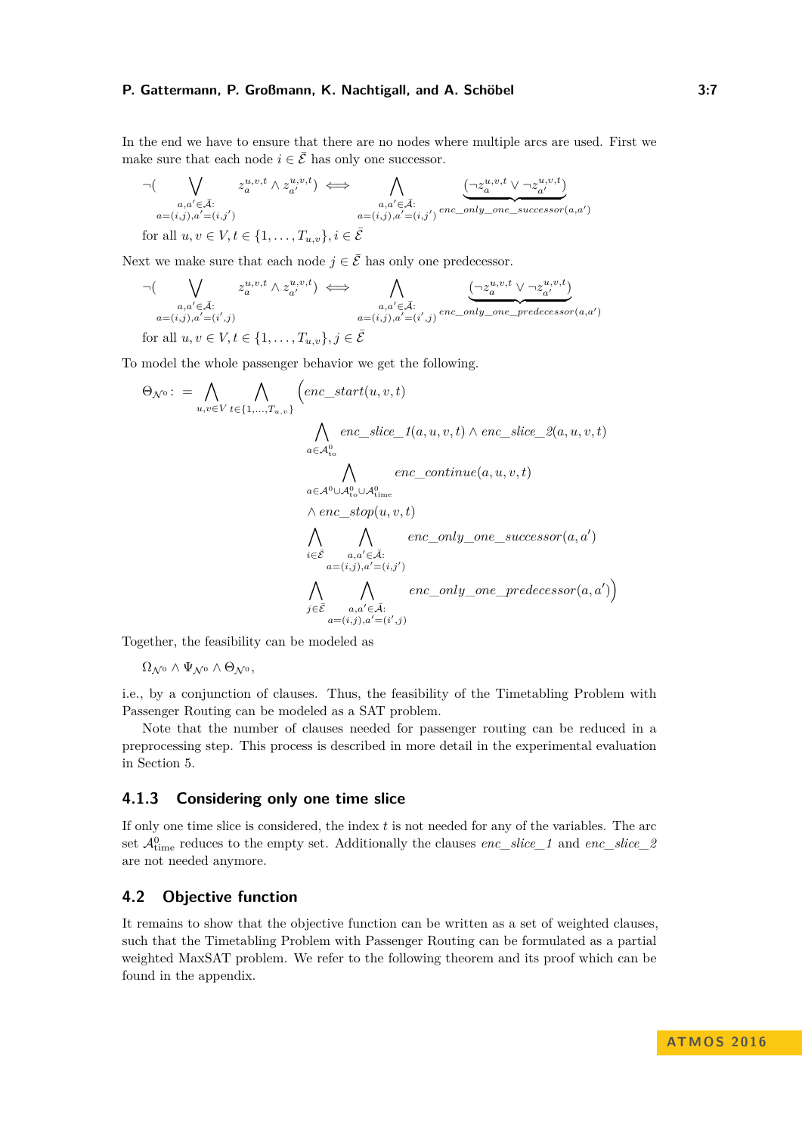In the end we have to ensure that there are no nodes where multiple arcs are used. First we make sure that each node  $i \in \overline{E}$  has only one successor.

$$
\neg (\bigvee_{\substack{a,a'\in\bar{\mathcal{A}}:\\a=(i,j),a'=(i,j')}} z_a^{u,v,t} \land z_{a'}^{u,v,t}) \iff \bigwedge_{\substack{a,a'\in\bar{\mathcal{A}}:\\a=(i,j),a'=(i,j')}} \underbrace{\left(\neg z_a^{u,v,t} \lor \neg z_{a'}^{u,v,t}\right)}_{\text{for all }u,v \in V, t \in \{1,\ldots,T_{u,v}\}, i \in \bar{\mathcal{E}}}
$$

Next we make sure that each node  $j \in \overline{E}$  has only one predecessor.

$$
\neg \left( \bigvee_{\substack{a,a' \in \bar{\mathcal{A}}:\\a=(i,j), a'=(i',j)}} z_a^{u,v,t} \land z_{a'}^{u,v,t} \right) \iff \bigwedge_{\substack{a,a' \in \bar{\mathcal{A}}:\\a=(i,j), a'=(i',j)}} \underbrace{\left(\neg z_a^{u,v,t} \lor \neg z_{a'}^{u,v,t}\right)}_{a=(i,j), a'=(i',j)} \underbrace{\left(\neg z_a^{u,v,t} \lor \neg z_{a'}^{u,v,t}\right)}_{enc\_only\_one\_predecessor(a,a')}
$$

for all  $u, v \in V, t \in \{1, \ldots, T_{u,v}\}, j \in \mathcal{E}$ 

To model the whole passenger behavior we get the following.

$$
\Theta_{\mathcal{N}^{0}} := \bigwedge_{u,v \in V} \bigwedge_{t \in \{1,\ldots,T_{u,v}\}} \left( enc\_start(u,v,t) \right)
$$
\n
$$
\bigwedge_{a \in \mathcal{A}_{\text{to}}^{0}} enc\_slice\_1(a,u,v,t) \land enc\_slice\_2(a,u,v,t)
$$
\n
$$
\bigwedge_{a \in \mathcal{A}^{0} \cup \mathcal{A}_{\text{to}}^{0}} \bigwedge_{c \in \mathcal{A}_{\text{to}}^{0}} enc\_continue(a,u,v,t)
$$
\n
$$
\bigwedge_{i \in \bar{\mathcal{E}}} \bigwedge_{\substack{a,a' \in \bar{\mathcal{A}}:\\a = (i,j), a' = (i,j')}} enc\_only\_one\_predecessor(a,a')
$$
\n
$$
\bigwedge_{j \in \bar{\mathcal{E}}} \bigwedge_{\substack{a,a' \in \bar{\mathcal{A}}:\\a = (i,j), a' = (i',j)}} enc\_only\_one\_predecessor(a,a')
$$

Together, the feasibility can be modeled as

 $\Omega_{\mathcal{N}^0} \wedge \Psi_{\mathcal{N}^0} \wedge \Theta_{\mathcal{N}^0},$ 

i.e., by a conjunction of clauses. Thus, the feasibility of the Timetabling Problem with Passenger Routing can be modeled as a SAT problem.

Note that the number of clauses needed for passenger routing can be reduced in a preprocessing step. This process is described in more detail in the experimental evaluation in Section [5.](#page-7-0)

### **4.1.3 Considering only one time slice**

If only one time slice is considered, the index *t* is not needed for any of the variables. The arc set  $\mathcal{A}_{time}^0$  reduces to the empty set. Additionally the clauses *enc\_slice\_1* and *enc\_slice\_2* are not needed anymore.

# **4.2 Objective function**

It remains to show that the objective function can be written as a set of weighted clauses, such that the Timetabling Problem with Passenger Routing can be formulated as a partial weighted MaxSAT problem. We refer to the following theorem and its proof which can be found in the appendix.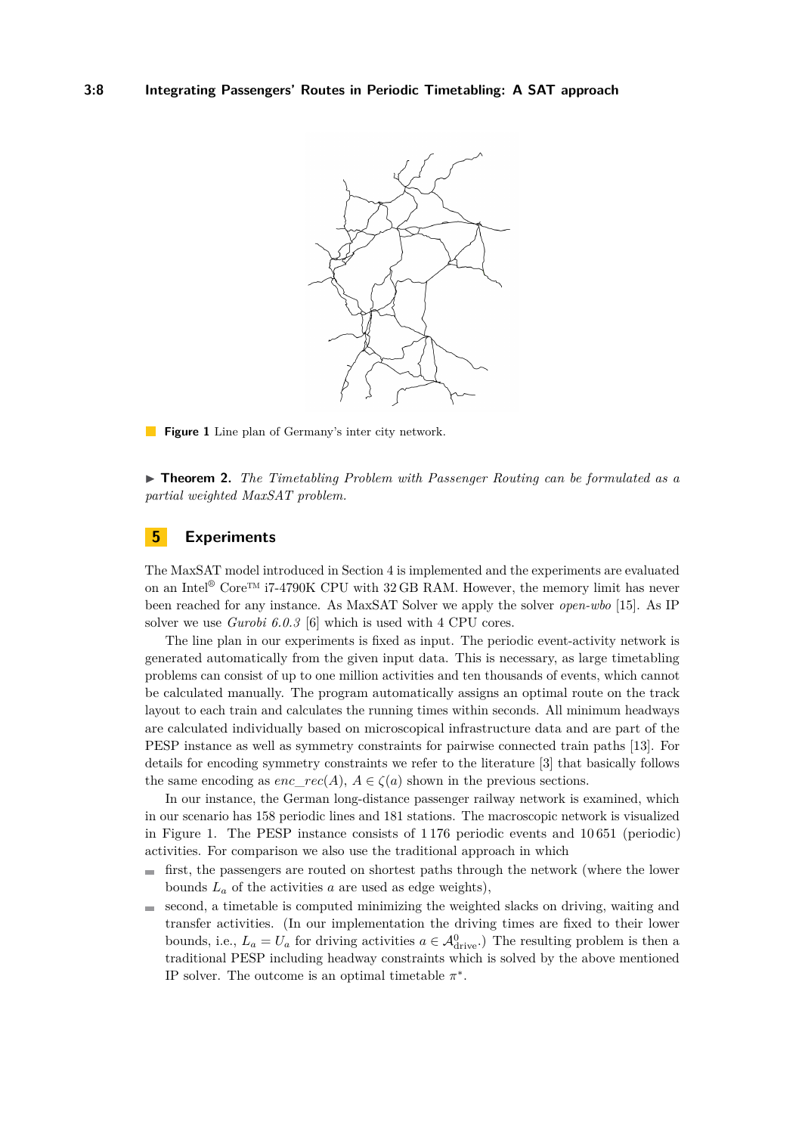<span id="page-7-1"></span>

**Figure 1** Line plan of Germany's inter city network.

► **Theorem 2.** *The Timetabling Problem with Passenger Routing can be formulated as a partial weighted MaxSAT problem.*

# <span id="page-7-0"></span>**5 Experiments**

The MaxSAT model introduced in Section [4](#page-4-0) is implemented and the experiments are evaluated on an Intel<sup>®</sup> Core<sup>™</sup> i7-4790K CPU with 32 GB RAM. However, the memory limit has never been reached for any instance. As MaxSAT Solver we apply the solver *open-wbo* [\[15\]](#page-11-14). As IP solver we use *Gurobi 6.0.3* [\[6\]](#page-11-15) which is used with 4 CPU cores.

The line plan in our experiments is fixed as input. The periodic event-activity network is generated automatically from the given input data. This is necessary, as large timetabling problems can consist of up to one million activities and ten thousands of events, which cannot be calculated manually. The program automatically assigns an optimal route on the track layout to each train and calculates the running times within seconds. All minimum headways are calculated individually based on microscopical infrastructure data and are part of the PESP instance as well as symmetry constraints for pairwise connected train paths [\[13\]](#page-11-16). For details for encoding symmetry constraints we refer to the literature [\[3\]](#page-11-17) that basically follows the same encoding as *enc*  $rec(A)$ ,  $A \in \zeta(a)$  shown in the previous sections.

In our instance, the German long-distance passenger railway network is examined, which in our scenario has 158 periodic lines and 181 stations. The macroscopic network is visualized in Figure [1.](#page-7-1) The PESP instance consists of 1 176 periodic events and 10 651 (periodic) activities. For comparison we also use the traditional approach in which

- $\mathcal{L}_{\mathcal{A}}$ first, the passengers are routed on shortest paths through the network (where the lower bounds  $L_a$  of the activities  $a$  are used as edge weights),
- second, a timetable is computed minimizing the weighted slacks on driving, waiting and  $\blacksquare$ transfer activities. (In our implementation the driving times are fixed to their lower bounds, i.e.,  $L_a = U_a$  for driving activities  $a \in \mathcal{A}_{\text{drive}}^0$ .) The resulting problem is then a traditional PESP including headway constraints which is solved by the above mentioned IP solver. The outcome is an optimal timetable  $\pi^*$ .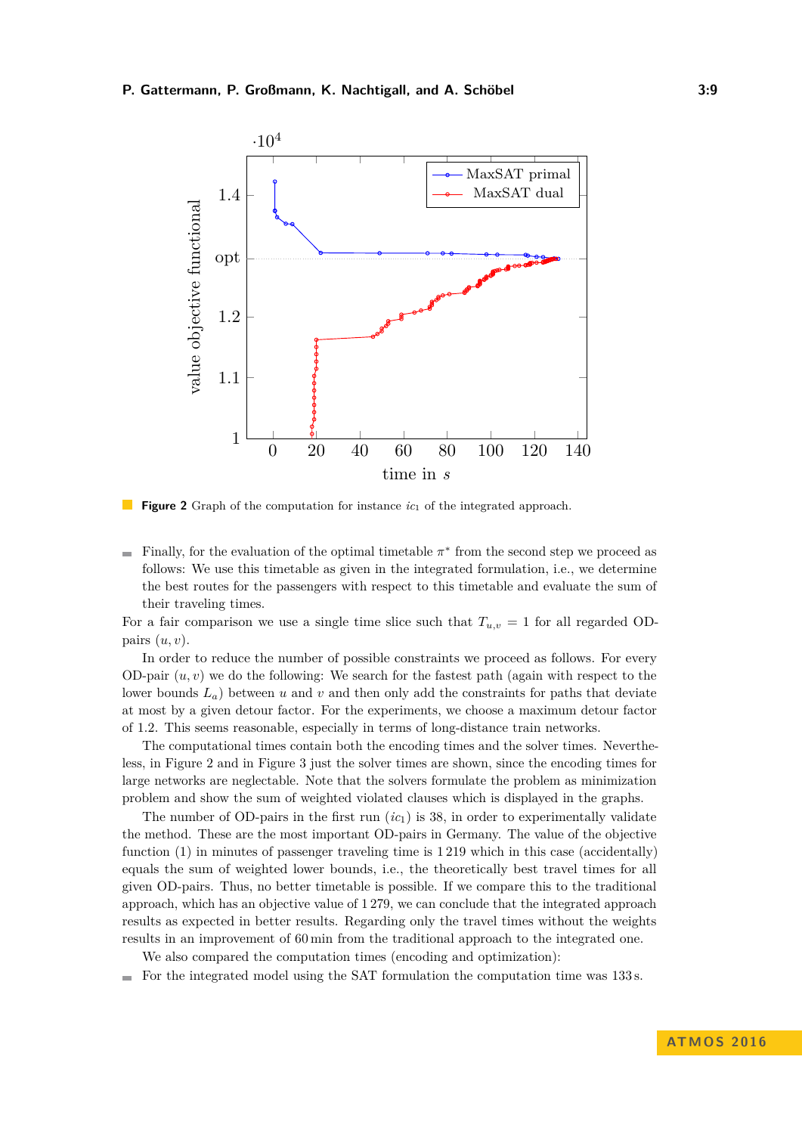<span id="page-8-0"></span>

**Figure 2** Graph of the computation for instance  $ic<sub>1</sub>$  of the integrated approach.

Finally, for the evaluation of the optimal timetable  $\pi^*$  from the second step we proceed as follows: We use this timetable as given in the integrated formulation, i.e., we determine the best routes for the passengers with respect to this timetable and evaluate the sum of their traveling times.

For a fair comparison we use a single time slice such that  $T_{u,v} = 1$  for all regarded ODpairs (*u, v*).

In order to reduce the number of possible constraints we proceed as follows. For every OD-pair (*u, v*) we do the following: We search for the fastest path (again with respect to the lower bounds  $L_a$ ) between  $u$  and  $v$  and then only add the constraints for paths that deviate at most by a given detour factor. For the experiments, we choose a maximum detour factor of 1*.*2. This seems reasonable, especially in terms of long-distance train networks.

The computational times contain both the encoding times and the solver times. Nevertheless, in Figure [2](#page-8-0) and in Figure [3](#page-9-0) just the solver times are shown, since the encoding times for large networks are neglectable. Note that the solvers formulate the problem as minimization problem and show the sum of weighted violated clauses which is displayed in the graphs.

The number of OD-pairs in the first run  $(ic<sub>1</sub>)$  is 38, in order to experimentally validate the method. These are the most important OD-pairs in Germany. The value of the objective function [\(1\)](#page-3-0) in minutes of passenger traveling time is 1 219 which in this case (accidentally) equals the sum of weighted lower bounds, i.e., the theoretically best travel times for all given OD-pairs. Thus, no better timetable is possible. If we compare this to the traditional approach, which has an objective value of 1 279, we can conclude that the integrated approach results as expected in better results. Regarding only the travel times without the weights results in an improvement of 60 min from the traditional approach to the integrated one.

We also compared the computation times (encoding and optimization):

 $\blacksquare$  For the integrated model using the SAT formulation the computation time was 133 s.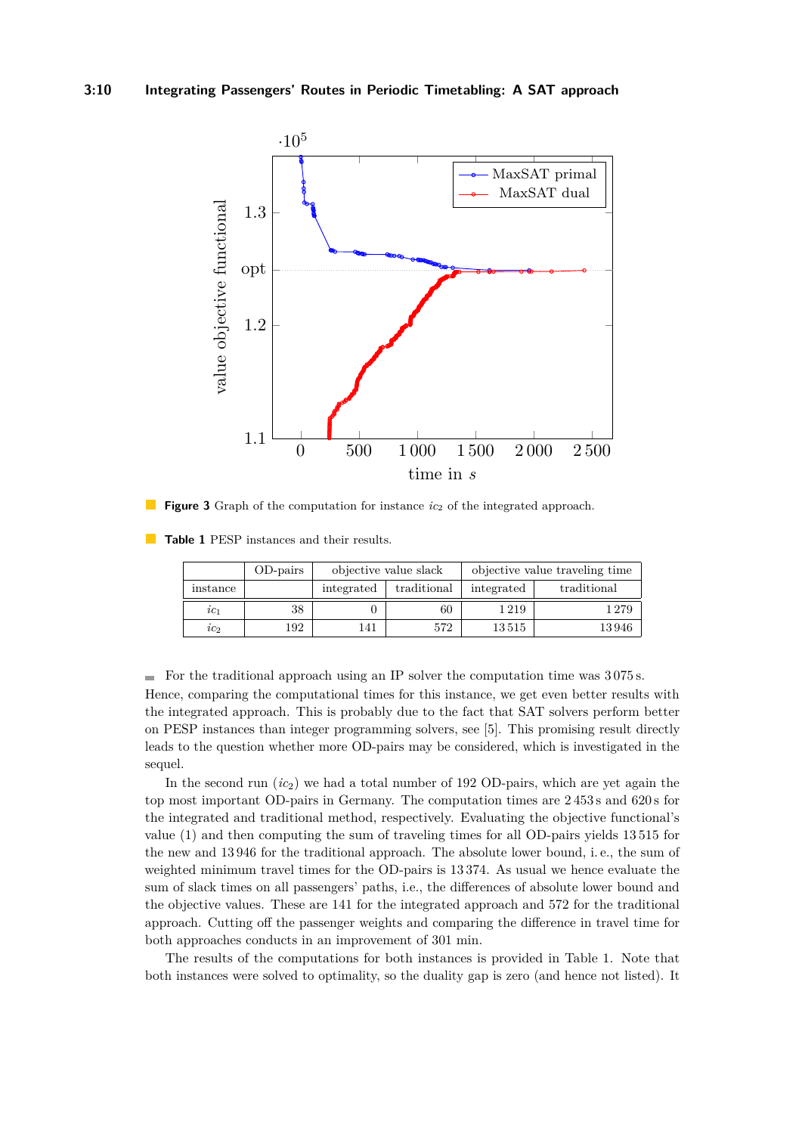<span id="page-9-0"></span>

**Figure 3** Graph of the computation for instance  $ic_2$  of the integrated approach.

<span id="page-9-1"></span>**Table 1** PESP instances and their results.

|          | OD-pairs | objective value slack |             | objective value traveling time |             |
|----------|----------|-----------------------|-------------|--------------------------------|-------------|
| instance |          | integrated            | traditional | integrated                     | traditional |
| $ic_1$   | 38       |                       | 60          | 1219                           | 1 2 7 9     |
| $ic_2$   | 192      | 141                   | 572         | 13515                          | 13946       |

For the traditional approach using an IP solver the computation time was  $3075 s$ . Hence, comparing the computational times for this instance, we get even better results with the integrated approach. This is probably due to the fact that SAT solvers perform better on PESP instances than integer programming solvers, see [\[5\]](#page-11-13). This promising result directly leads to the question whether more OD-pairs may be considered, which is investigated in the sequel.

In the second run (*ic*2) we had a total number of 192 OD-pairs, which are yet again the top most important OD-pairs in Germany. The computation times are 2 453 s and 620 s for the integrated and traditional method, respectively. Evaluating the objective functional's value [\(1\)](#page-3-0) and then computing the sum of traveling times for all OD-pairs yields 13 515 for the new and 13 946 for the traditional approach. The absolute lower bound, i. e., the sum of weighted minimum travel times for the OD-pairs is 13 374. As usual we hence evaluate the sum of slack times on all passengers' paths, i.e., the differences of absolute lower bound and the objective values. These are 141 for the integrated approach and 572 for the traditional approach. Cutting off the passenger weights and comparing the difference in travel time for both approaches conducts in an improvement of 301 min.

The results of the computations for both instances is provided in Table [1.](#page-9-1) Note that both instances were solved to optimality, so the duality gap is zero (and hence not listed). It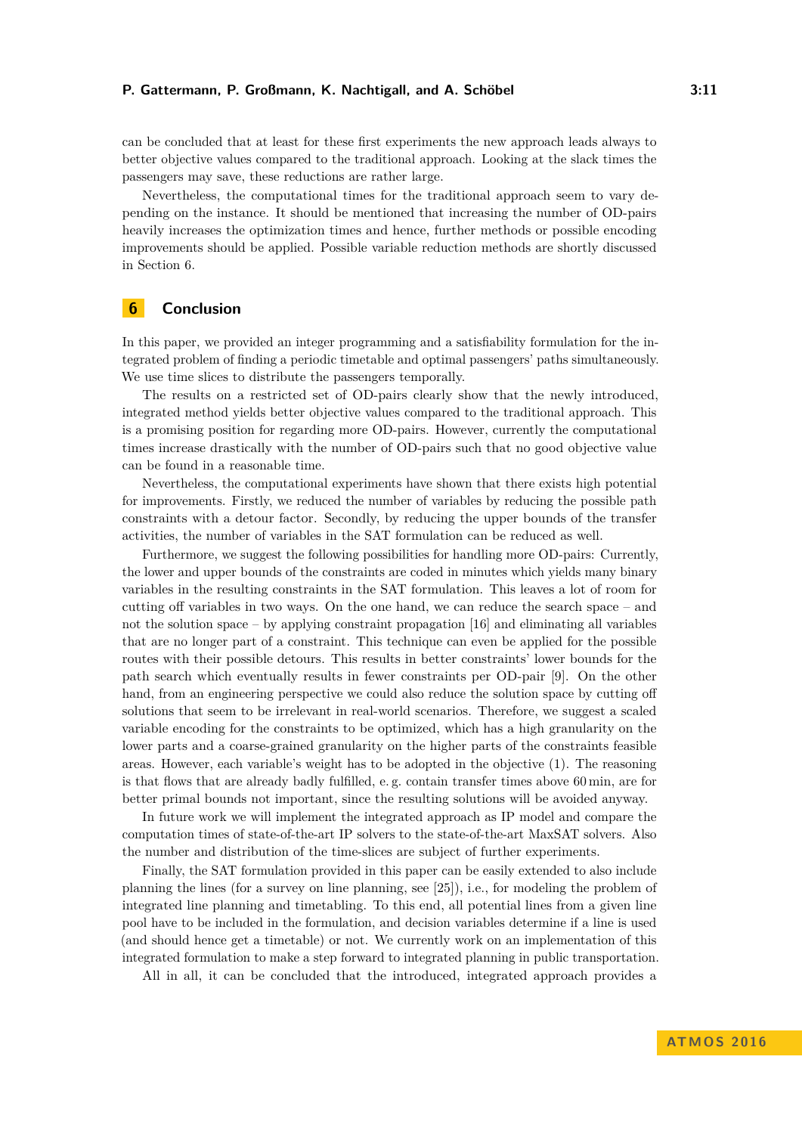can be concluded that at least for these first experiments the new approach leads always to better objective values compared to the traditional approach. Looking at the slack times the passengers may save, these reductions are rather large.

Nevertheless, the computational times for the traditional approach seem to vary depending on the instance. It should be mentioned that increasing the number of OD-pairs heavily increases the optimization times and hence, further methods or possible encoding improvements should be applied. Possible variable reduction methods are shortly discussed in Section [6.](#page-10-0)

# <span id="page-10-0"></span>**6 Conclusion**

In this paper, we provided an integer programming and a satisfiability formulation for the integrated problem of finding a periodic timetable and optimal passengers' paths simultaneously. We use time slices to distribute the passengers temporally.

The results on a restricted set of OD-pairs clearly show that the newly introduced, integrated method yields better objective values compared to the traditional approach. This is a promising position for regarding more OD-pairs. However, currently the computational times increase drastically with the number of OD-pairs such that no good objective value can be found in a reasonable time.

Nevertheless, the computational experiments have shown that there exists high potential for improvements. Firstly, we reduced the number of variables by reducing the possible path constraints with a detour factor. Secondly, by reducing the upper bounds of the transfer activities, the number of variables in the SAT formulation can be reduced as well.

Furthermore, we suggest the following possibilities for handling more OD-pairs: Currently, the lower and upper bounds of the constraints are coded in minutes which yields many binary variables in the resulting constraints in the SAT formulation. This leaves a lot of room for cutting off variables in two ways. On the one hand, we can reduce the search space – and not the solution space – by applying constraint propagation  $[16]$  and eliminating all variables that are no longer part of a constraint. This technique can even be applied for the possible routes with their possible detours. This results in better constraints' lower bounds for the path search which eventually results in fewer constraints per OD-pair [\[9\]](#page-11-18). On the other hand, from an engineering perspective we could also reduce the solution space by cutting off solutions that seem to be irrelevant in real-world scenarios. Therefore, we suggest a scaled variable encoding for the constraints to be optimized, which has a high granularity on the lower parts and a coarse-grained granularity on the higher parts of the constraints feasible areas. However, each variable's weight has to be adopted in the objective [\(1\)](#page-3-0). The reasoning is that flows that are already badly fulfilled, e. g. contain transfer times above 60 min, are for better primal bounds not important, since the resulting solutions will be avoided anyway.

In future work we will implement the integrated approach as IP model and compare the computation times of state-of-the-art IP solvers to the state-of-the-art MaxSAT solvers. Also the number and distribution of the time-slices are subject of further experiments.

Finally, the SAT formulation provided in this paper can be easily extended to also include planning the lines (for a survey on line planning, see [\[25\]](#page-12-6)), i.e., for modeling the problem of integrated line planning and timetabling. To this end, all potential lines from a given line pool have to be included in the formulation, and decision variables determine if a line is used (and should hence get a timetable) or not. We currently work on an implementation of this integrated formulation to make a step forward to integrated planning in public transportation.

All in all, it can be concluded that the introduced, integrated approach provides a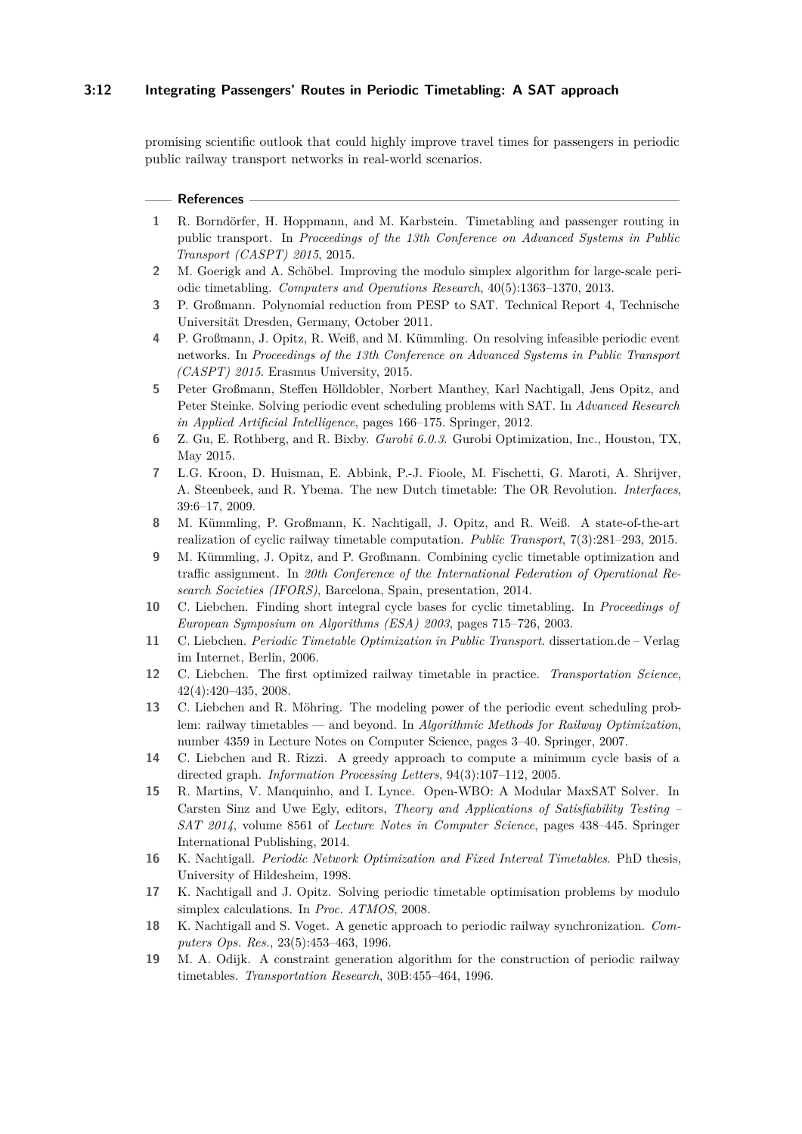# **3:12 Integrating Passengers' Routes in Periodic Timetabling: A SAT approach**

promising scientific outlook that could highly improve travel times for passengers in periodic public railway transport networks in real-world scenarios.

#### **References**

- <span id="page-11-12"></span>**1** R. Borndörfer, H. Hoppmann, and M. Karbstein. Timetabling and passenger routing in public transport. In *Proceedings of the 13th Conference on Advanced Systems in Public Transport (CASPT) 2015*, 2015.
- <span id="page-11-9"></span>**2** M. Goerigk and A. Schöbel. Improving the modulo simplex algorithm for large-scale periodic timetabling. *Computers and Operations Research*, 40(5):1363–1370, 2013.
- <span id="page-11-17"></span>**3** P. Großmann. Polynomial reduction from PESP to SAT. Technical Report 4, Technische Universität Dresden, Germany, October 2011.
- <span id="page-11-11"></span>**4** P. Großmann, J. Opitz, R. Weiß, and M. Kümmling. On resolving infeasible periodic event networks. In *Proceedings of the 13th Conference on Advanced Systems in Public Transport (CASPT) 2015*. Erasmus University, 2015.
- <span id="page-11-13"></span>**5** Peter Großmann, Steffen Hölldobler, Norbert Manthey, Karl Nachtigall, Jens Opitz, and Peter Steinke. Solving periodic event scheduling problems with SAT. In *Advanced Research in Applied Artificial Intelligence*, pages 166–175. Springer, 2012.
- <span id="page-11-15"></span>**6** Z. Gu, E. Rothberg, and R. Bixby. *Gurobi 6.0.3*. Gurobi Optimization, Inc., Houston, TX, May 2015.
- <span id="page-11-6"></span>**7** L.G. Kroon, D. Huisman, E. Abbink, P.-J. Fioole, M. Fischetti, G. Maroti, A. Shrijver, A. Steenbeek, and R. Ybema. The new Dutch timetable: The OR Revolution. *Interfaces*, 39:6–17, 2009.
- <span id="page-11-10"></span>**8** M. Kümmling, P. Großmann, K. Nachtigall, J. Opitz, and R. Weiß. A state-of-the-art realization of cyclic railway timetable computation. *Public Transport*, 7(3):281–293, 2015.
- <span id="page-11-18"></span>**9** M. Kümmling, J. Opitz, and P. Großmann. Combining cyclic timetable optimization and traffic assignment. In *20th Conference of the International Federation of Operational Research Societies (IFORS)*, Barcelona, Spain, presentation, 2014.
- <span id="page-11-3"></span>**10** C. Liebchen. Finding short integral cycle bases for cyclic timetabling. In *Proceedings of European Symposium on Algorithms (ESA) 2003*, pages 715–726, 2003.
- <span id="page-11-5"></span>**11** C. Liebchen. *Periodic Timetable Optimization in Public Transport*. dissertation.de – Verlag im Internet, Berlin, 2006.
- <span id="page-11-7"></span>**12** C. Liebchen. The first optimized railway timetable in practice. *Transportation Science*, 42(4):420–435, 2008.
- <span id="page-11-16"></span>**13** C. Liebchen and R. Möhring. The modeling power of the periodic event scheduling problem: railway timetables — and beyond. In *Algorithmic Methods for Railway Optimization*, number 4359 in Lecture Notes on Computer Science, pages 3–40. Springer, 2007.
- <span id="page-11-4"></span>**14** C. Liebchen and R. Rizzi. A greedy approach to compute a minimum cycle basis of a directed graph. *Information Processing Letters*, 94(3):107–112, 2005.
- <span id="page-11-14"></span>**15** R. Martins, V. Manquinho, and I. Lynce. Open-WBO: A Modular MaxSAT Solver. In Carsten Sinz and Uwe Egly, editors, *Theory and Applications of Satisfiability Testing – SAT 2014*, volume 8561 of *Lecture Notes in Computer Science*, pages 438–445. Springer International Publishing, 2014.
- <span id="page-11-0"></span>**16** K. Nachtigall. *Periodic Network Optimization and Fixed Interval Timetables*. PhD thesis, University of Hildesheim, 1998.
- <span id="page-11-8"></span>**17** K. Nachtigall and J. Opitz. Solving periodic timetable optimisation problems by modulo simplex calculations. In *Proc. ATMOS*, 2008.
- <span id="page-11-1"></span>**18** K. Nachtigall and S. Voget. A genetic approach to periodic railway synchronization. *Computers Ops. Res.*, 23(5):453–463, 1996.
- <span id="page-11-2"></span>**19** M. A. Odijk. A constraint generation algorithm for the construction of periodic railway timetables. *Transportation Research*, 30B:455–464, 1996.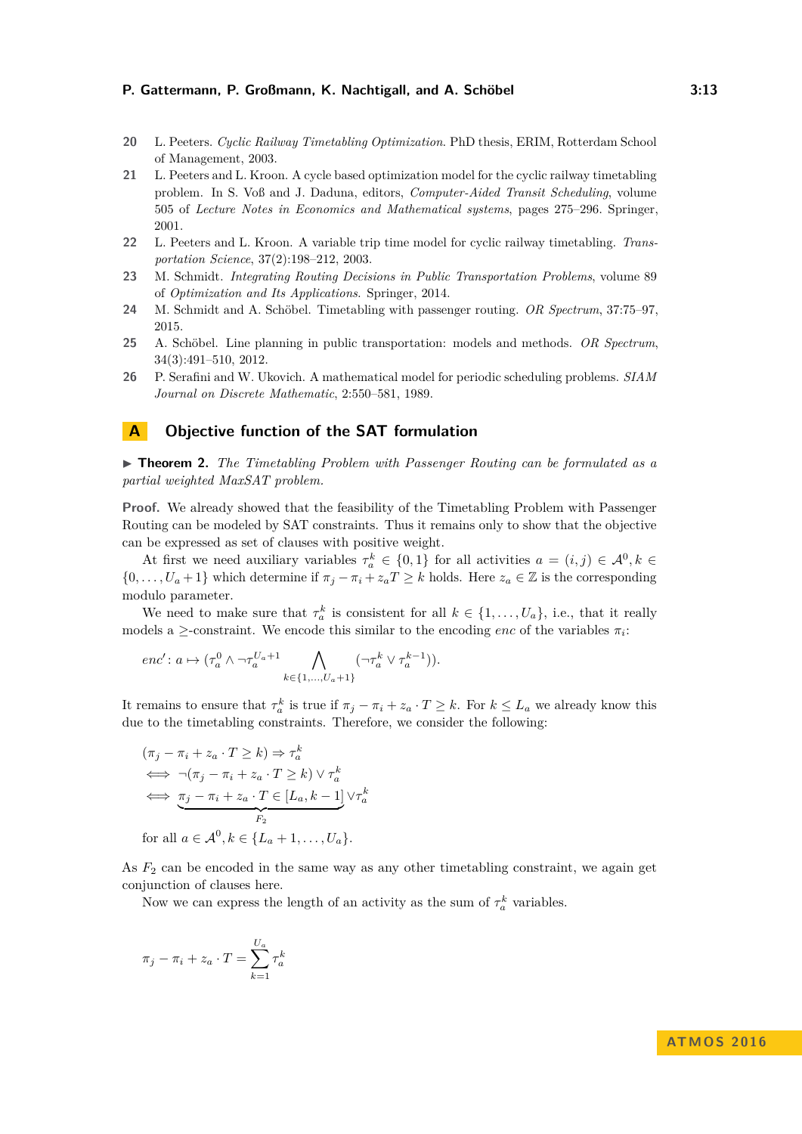- <span id="page-12-2"></span>**20** L. Peeters. *Cyclic Railway Timetabling Optimization*. PhD thesis, ERIM, Rotterdam School of Management, 2003.
- <span id="page-12-1"></span>**21** L. Peeters and L. Kroon. A cycle based optimization model for the cyclic railway timetabling problem. In S. Voß and J. Daduna, editors, *Computer-Aided Transit Scheduling*, volume 505 of *Lecture Notes in Economics and Mathematical systems*, pages 275–296. Springer, 2001.
- <span id="page-12-3"></span>**22** L. Peeters and L. Kroon. A variable trip time model for cyclic railway timetabling. *Transportation Science*, 37(2):198–212, 2003.
- <span id="page-12-5"></span>**23** M. Schmidt. *Integrating Routing Decisions in Public Transportation Problems*, volume 89 of *Optimization and Its Applications*. Springer, 2014.
- <span id="page-12-4"></span>**24** M. Schmidt and A. Schöbel. Timetabling with passenger routing. *OR Spectrum*, 37:75–97, 2015.
- <span id="page-12-6"></span>**25** A. Schöbel. Line planning in public transportation: models and methods. *OR Spectrum*, 34(3):491–510, 2012.
- <span id="page-12-0"></span>**26** P. Serafini and W. Ukovich. A mathematical model for periodic scheduling problems. *SIAM Journal on Discrete Mathematic*, 2:550–581, 1989.

### **A Objective function of the SAT formulation**

▶ **Theorem 2.** *The Timetabling Problem with Passenger Routing can be formulated as a partial weighted MaxSAT problem.*

**Proof.** We already showed that the feasibility of the Timetabling Problem with Passenger Routing can be modeled by SAT constraints. Thus it remains only to show that the objective can be expressed as set of clauses with positive weight.

At first we need auxiliary variables  $\tau_a^k \in \{0,1\}$  for all activities  $a = (i,j) \in \mathcal{A}^0, k \in$  $\{0, \ldots, U_a + 1\}$  which determine if  $\pi_j - \pi_i + z_aT \geq k$  holds. Here  $z_a \in \mathbb{Z}$  is the corresponding modulo parameter.

We need to make sure that  $\tau_a^k$  is consistent for all  $k \in \{1, \ldots, U_a\}$ , i.e., that it really models a  $\ge$ -constraint. We encode this similar to the encoding *enc* of the variables  $\pi_i$ :

$$
enc' : a \mapsto (\tau_a^0 \wedge \neg \tau_a^{U_a+1} \bigwedge_{k \in \{1, \dots, U_a+1\}} (\neg \tau_a^k \vee \tau_a^{k-1})).
$$

It remains to ensure that  $\tau_a^k$  is true if  $\pi_j - \pi_i + z_a \cdot T \geq k$ . For  $k \leq L_a$  we already know this due to the timetabling constraints. Therefore, we consider the following:

$$
(\pi_j - \pi_i + z_a \cdot T \ge k) \Rightarrow \tau_a^k
$$
  
\n
$$
\iff \neg(\pi_j - \pi_i + z_a \cdot T \ge k) \lor \tau_a^k
$$
  
\n
$$
\iff \underbrace{\pi_j - \pi_i + z_a \cdot T \in [L_a, k-1]}_{F_2} \lor \tau_a^k
$$
  
\nfor all  $a \in \mathcal{A}^0, k \in \{L_a + 1, ..., U_a\}.$ 

As  $F_2$  can be encoded in the same way as any other timetabling constraint, we again get conjunction of clauses here.

Now we can express the length of an activity as the sum of  $\tau_a^k$  variables.

$$
\pi_j - \pi_i + z_a \cdot T = \sum_{k=1}^{U_a} \tau_a^k
$$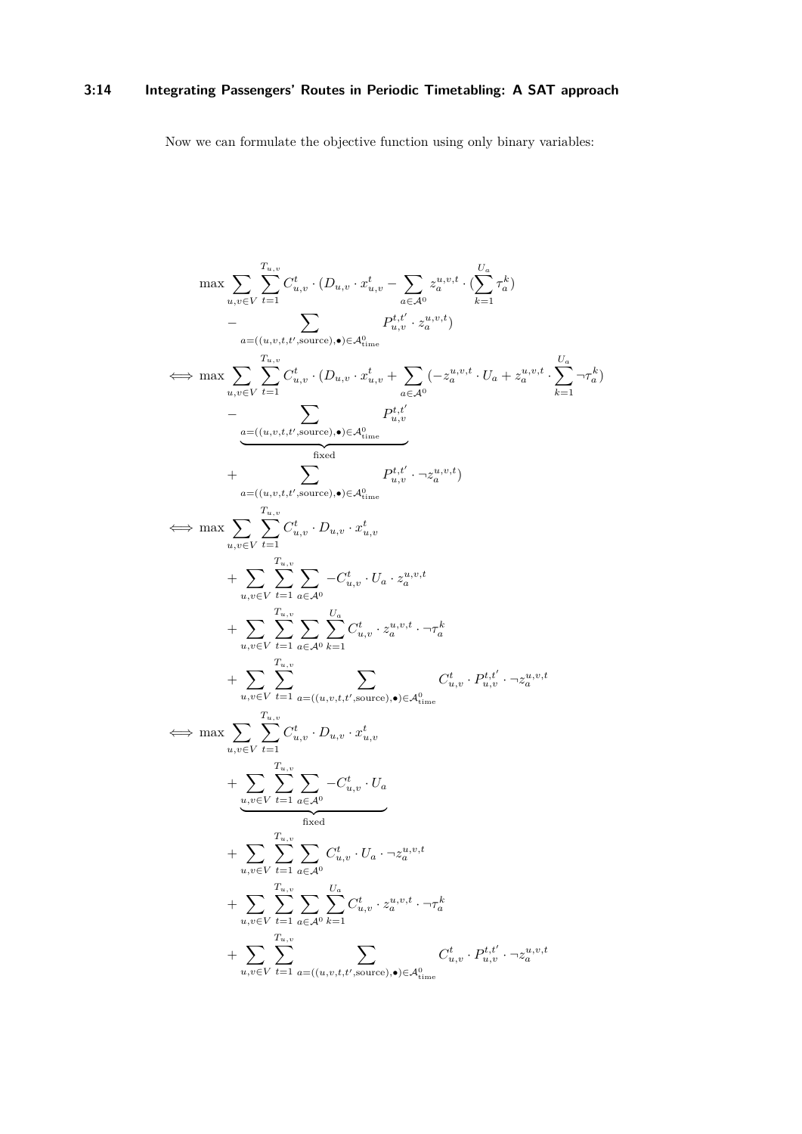# **3:14 Integrating Passengers' Routes in Periodic Timetabling: A SAT approach**

Now we can formulate the objective function using only binary variables:

$$
\begin{split} \max & \sum_{u,v \in V} \sum_{t=1}^{T_{u,v}} C_{u,v}^{t} \cdot (D_{u,v} \cdot x_{u,v}^{t} - \sum_{a \in \mathcal{A}^{0}} z_{a}^{u,v,t} \cdot (\sum_{k=1}^{U_{a}} \tau_{a}^{k}) \\ &- \sum_{a = ((u,v,t,t',\text{source}),\bullet) \in \mathcal{A}^{0}_{\text{time}}} P_{u,v}^{t,t'} \cdot z_{a}^{u,v,t}) \\ \Longleftrightarrow & \max \sum_{u,v \in V} \sum_{t=1}^{T_{u,v}} C_{u,v}^{t} \cdot (D_{u,v} \cdot x_{u,v}^{t} + \sum_{a \in \mathcal{A}^{0}} (-z_{a}^{u,v,t} \cdot U_{a} + z_{a}^{u,v,t} \cdot \sum_{k=1}^{U_{a}} \neg \tau_{a}^{k}) \\ &- \sum_{u,v \in V} \sum_{t=1}^{T_{u,v}} C_{u,v}^{t} \cdot (D_{u,v} \cdot x_{u,v}^{t} - \sum_{a \in \mathcal{A}^{0}} P_{u,v}^{t,t'} \cdot \neg z_{a}^{u,v,t}) \\ &+ \sum_{u,v \in V} \sum_{t=1}^{T_{u,v}} C_{u,v}^{t} \cdot D_{u,v} \cdot x_{u,v}^{t} \\ &+ \sum_{u,v \in V} \sum_{t=1}^{T_{u,v}} C_{u,v}^{t} \cdot U_{a} \cdot z_{a}^{u,v,t} \\ &+ \sum_{u,v \in V} \sum_{t=1}^{T_{u,v}} \sum_{a \in \mathcal{A}^{0}} C_{u,v}^{t} \cdot v_{a}^{u,v,t} \cdot \neg \tau_{a}^{k} \\ &+ \sum_{u,v \in V} \sum_{t=1}^{T_{u,v}} \sum_{a \in \mathcal{A}^{0}} C_{u,v}^{t} \cdot x_{a}^{u,v,t} \cdot \neg \tau_{a}^{k} \\ &+ \sum_{u,v \in V} \sum_{t=1}^{T_{u,v}} \sum_{a \in \mathcal{A}^{0}} C_{u,v}^{t} \cdot x_{u,v}^{u,v,t} \cdot \neg z_{a}^{u,v,t} \\ &+ \sum_{u,v \in V} \sum_{t=1}^{T_{u,v}} C_{u,v}^{t} \cdot D_{u,v} \cdot x_{u,v}^{t} \\ &+ \sum_{u,v \in V} \sum_{t=1}^{T_{u,v
$$